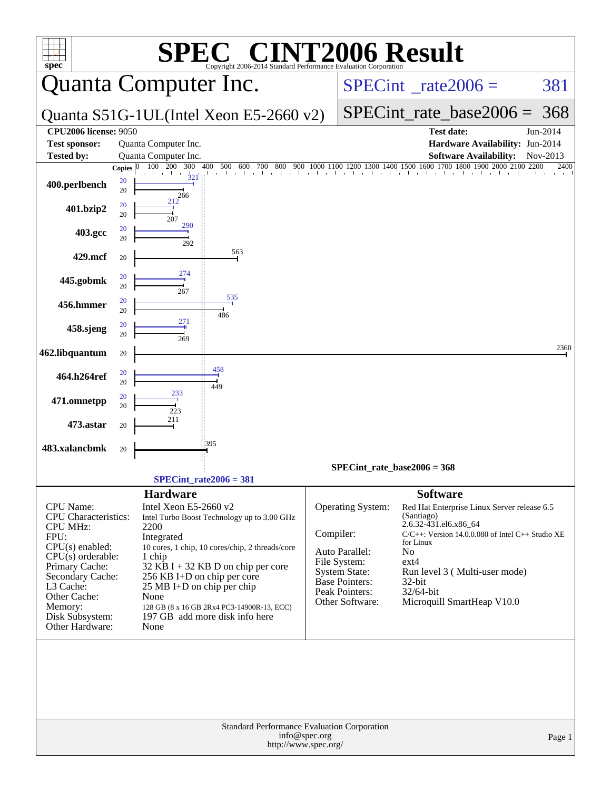| $spec^*$                                                                                                                                                                                                                     | SPI<br>Copyright 2006-2014 Standard Performance Evaluation Corporation                                                                                                                                                                                                                                                                                                   | <b>C® CINT2006 Result</b>                                                                                                                                                                                                                                                                                                                                                                                                                     |
|------------------------------------------------------------------------------------------------------------------------------------------------------------------------------------------------------------------------------|--------------------------------------------------------------------------------------------------------------------------------------------------------------------------------------------------------------------------------------------------------------------------------------------------------------------------------------------------------------------------|-----------------------------------------------------------------------------------------------------------------------------------------------------------------------------------------------------------------------------------------------------------------------------------------------------------------------------------------------------------------------------------------------------------------------------------------------|
|                                                                                                                                                                                                                              | Quanta Computer Inc.                                                                                                                                                                                                                                                                                                                                                     | 381<br>$SPECint^{\circ}$ rate $2006 =$                                                                                                                                                                                                                                                                                                                                                                                                        |
|                                                                                                                                                                                                                              | Quanta S51G-1UL(Intel Xeon E5-2660 v2)                                                                                                                                                                                                                                                                                                                                   | SPECint rate base $2006 = 368$                                                                                                                                                                                                                                                                                                                                                                                                                |
| <b>CPU2006 license: 9050</b>                                                                                                                                                                                                 |                                                                                                                                                                                                                                                                                                                                                                          | <b>Test date:</b><br>Jun-2014                                                                                                                                                                                                                                                                                                                                                                                                                 |
| <b>Test sponsor:</b>                                                                                                                                                                                                         | Quanta Computer Inc.<br>Quanta Computer Inc.                                                                                                                                                                                                                                                                                                                             | Hardware Availability: Jun-2014                                                                                                                                                                                                                                                                                                                                                                                                               |
| <b>Tested by:</b>                                                                                                                                                                                                            | 200<br>300<br>400<br>100<br>0 500 600 700 800<br>Copies $ 0 $                                                                                                                                                                                                                                                                                                            | <b>Software Availability:</b><br>Nov-2013<br>$900\quad 1000\quad 1100\quad 1200\quad 1300\quad 1400\quad 1500\quad 1600\quad 1700\quad 1800\quad 1900\quad 2000\quad 2100$<br>2200<br>2400                                                                                                                                                                                                                                                    |
| 400.perlbench                                                                                                                                                                                                                | $\frac{1}{321}$<br>20<br>20<br>266                                                                                                                                                                                                                                                                                                                                       |                                                                                                                                                                                                                                                                                                                                                                                                                                               |
| 401.bzip2                                                                                                                                                                                                                    | 212<br>20<br>20<br>207                                                                                                                                                                                                                                                                                                                                                   |                                                                                                                                                                                                                                                                                                                                                                                                                                               |
| 403.gcc                                                                                                                                                                                                                      | 290<br>20<br>20<br>292                                                                                                                                                                                                                                                                                                                                                   |                                                                                                                                                                                                                                                                                                                                                                                                                                               |
| 429.mcf                                                                                                                                                                                                                      | 563<br>20                                                                                                                                                                                                                                                                                                                                                                |                                                                                                                                                                                                                                                                                                                                                                                                                                               |
| 445.gobmk                                                                                                                                                                                                                    | 274<br>20<br>20<br>267                                                                                                                                                                                                                                                                                                                                                   |                                                                                                                                                                                                                                                                                                                                                                                                                                               |
| 456.hmmer                                                                                                                                                                                                                    | 535<br>20<br>20                                                                                                                                                                                                                                                                                                                                                          |                                                                                                                                                                                                                                                                                                                                                                                                                                               |
| 458.sjeng                                                                                                                                                                                                                    | 486<br>271<br>20<br>20<br>269                                                                                                                                                                                                                                                                                                                                            |                                                                                                                                                                                                                                                                                                                                                                                                                                               |
| 462.libquantum                                                                                                                                                                                                               | 20                                                                                                                                                                                                                                                                                                                                                                       | 2360                                                                                                                                                                                                                                                                                                                                                                                                                                          |
| 464.h264ref                                                                                                                                                                                                                  | 458<br>20<br>20<br>449                                                                                                                                                                                                                                                                                                                                                   |                                                                                                                                                                                                                                                                                                                                                                                                                                               |
| 471.omnetpp                                                                                                                                                                                                                  | 233<br>20<br>20<br>223                                                                                                                                                                                                                                                                                                                                                   |                                                                                                                                                                                                                                                                                                                                                                                                                                               |
| 473.astar                                                                                                                                                                                                                    | 211<br>20                                                                                                                                                                                                                                                                                                                                                                |                                                                                                                                                                                                                                                                                                                                                                                                                                               |
| 483.xalancbmk                                                                                                                                                                                                                | 395<br>20                                                                                                                                                                                                                                                                                                                                                                |                                                                                                                                                                                                                                                                                                                                                                                                                                               |
|                                                                                                                                                                                                                              |                                                                                                                                                                                                                                                                                                                                                                          | $SPECint_rate_base2006 = 368$                                                                                                                                                                                                                                                                                                                                                                                                                 |
|                                                                                                                                                                                                                              | $SPECint_rate2006 = 381$                                                                                                                                                                                                                                                                                                                                                 |                                                                                                                                                                                                                                                                                                                                                                                                                                               |
| CPU Name:<br>CPU Characteristics:<br><b>CPU MHz:</b><br>FPU:<br>$CPU(s)$ enabled:<br>$CPU(s)$ orderable:<br>Primary Cache:<br>Secondary Cache:<br>L3 Cache:<br>Other Cache:<br>Memory:<br>Disk Subsystem:<br>Other Hardware: | Hardware<br>Intel Xeon E5-2660 v2<br>Intel Turbo Boost Technology up to 3.00 GHz<br>2200<br>Integrated<br>10 cores, 1 chip, 10 cores/chip, 2 threads/core<br>1 chip<br>$32$ KB I + 32 KB D on chip per core<br>256 KB I+D on chip per core<br>25 MB I+D on chip per chip<br>None<br>128 GB (8 x 16 GB 2Rx4 PC3-14900R-13, ECC)<br>197 GB add more disk info here<br>None | <b>Software</b><br>Operating System:<br>Red Hat Enterprise Linux Server release 6.5<br>(Santiago)<br>2.6.32-431.el6.x86_64<br>Compiler:<br>$C/C++$ : Version 14.0.0.080 of Intel $C++$ Studio XE<br>for Linux<br>Auto Parallel:<br>No<br>File System:<br>$ext{4}$<br><b>System State:</b><br>Run level 3 (Multi-user mode)<br><b>Base Pointers:</b><br>32-bit<br>Peak Pointers:<br>32/64-bit<br>Other Software:<br>Microquill SmartHeap V10.0 |
|                                                                                                                                                                                                                              | Standard Performance Evaluation Corporation<br>info@spec.org<br>http://www.spec.org/                                                                                                                                                                                                                                                                                     | Page 1                                                                                                                                                                                                                                                                                                                                                                                                                                        |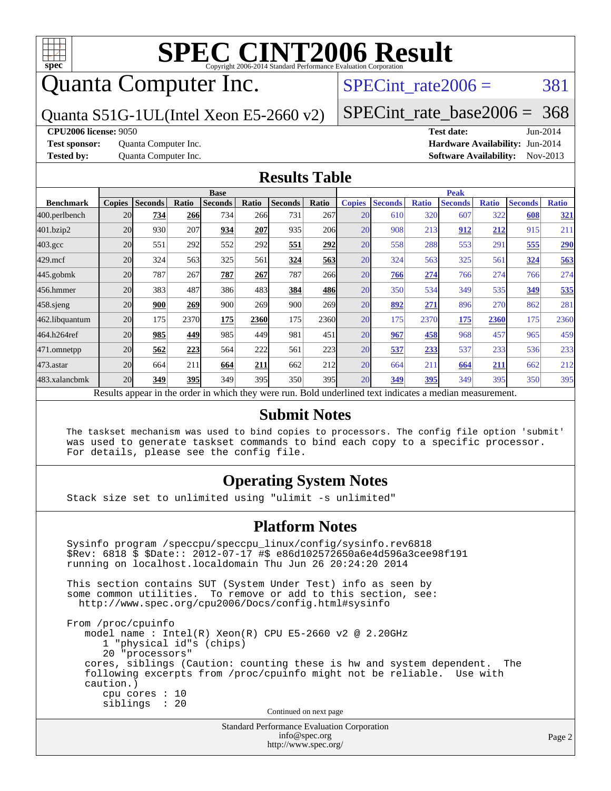

## Quanta Computer Inc.

SPECint rate $2006 = 381$ 

Quanta S51G-1UL(Intel Xeon E5-2660 v2)

[SPECint\\_rate\\_base2006 =](http://www.spec.org/auto/cpu2006/Docs/result-fields.html#SPECintratebase2006) 368

**[CPU2006 license:](http://www.spec.org/auto/cpu2006/Docs/result-fields.html#CPU2006license)** 9050 **[Test date:](http://www.spec.org/auto/cpu2006/Docs/result-fields.html#Testdate)** Jun-2014

**[Test sponsor:](http://www.spec.org/auto/cpu2006/Docs/result-fields.html#Testsponsor)** Quanta Computer Inc. **[Hardware Availability:](http://www.spec.org/auto/cpu2006/Docs/result-fields.html#HardwareAvailability)** Jun-2014 **[Tested by:](http://www.spec.org/auto/cpu2006/Docs/result-fields.html#Testedby)** Quanta Computer Inc. **[Software Availability:](http://www.spec.org/auto/cpu2006/Docs/result-fields.html#SoftwareAvailability)** Nov-2013

#### **[Results Table](http://www.spec.org/auto/cpu2006/Docs/result-fields.html#ResultsTable)**

|                                                                                                          | <b>Base</b>   |                |              |                |       |                | <b>Peak</b> |               |                |              |                |              |                |              |
|----------------------------------------------------------------------------------------------------------|---------------|----------------|--------------|----------------|-------|----------------|-------------|---------------|----------------|--------------|----------------|--------------|----------------|--------------|
| <b>Benchmark</b>                                                                                         | <b>Copies</b> | <b>Seconds</b> | <b>Ratio</b> | <b>Seconds</b> | Ratio | <b>Seconds</b> | Ratio       | <b>Copies</b> | <b>Seconds</b> | <b>Ratio</b> | <b>Seconds</b> | <b>Ratio</b> | <b>Seconds</b> | <b>Ratio</b> |
| 400.perlbench                                                                                            | 20            | 734            | 266          | 734            | 266   | 731            | 267l        | 20            | 610            | 320          | 607            | 322          | 608            | 321          |
| 401.bzip2                                                                                                | 20            | 930            | 207          | 934            | 207   | 935            | <b>206</b>  | 20            | 908            | 213          | 912            | 212          | 915            | 211          |
| $403.\mathrm{gcc}$                                                                                       | 20            | 551            | 292          | 552            | 292   | <u>551</u>     | 292         | 20            | 558            | 288          | 553            | 291          | 555            | <b>290</b>   |
| $429$ .mcf                                                                                               | 20            | 324            | 563          | 325            | 561   | 324            | 563         | 20            | 324            | 563          | 325            | 561          | 324            | 563          |
| $445$ .gobmk                                                                                             | 20            | 787            | 267          | 787            | 267   | 787            | 266         | 20            | <b>766</b>     | 274          | 766            | 274          | 766            | 274          |
| 456.hmmer                                                                                                | 20            | 383            | 487          | 386            | 483   | 384            | 486         | 20            | 350            | 534          | 349            | 535          | 349            | 535          |
| $458$ .sjeng                                                                                             | 20            | 900            | 269          | 900            | 269   | 900            | <b>269</b>  | 20            | 892            | 271          | 896            | 270          | 862            | 281          |
| 462.libquantum                                                                                           | 20            | 175            | 2370         | 175            | 2360  | 175            | 2360        | 20            | 175            | 2370         | 175            | 2360         | 175            | 2360         |
| 464.h264ref                                                                                              | 20            | 985            | 449          | 985            | 449   | 981            | 451         | 20            | 967            | 458          | 968            | 457          | 965            | 459          |
| 471.omnetpp                                                                                              | 20            | 562            | 223          | 564            | 222   | 561            | 223         | 20            | 537            | 233          | 537            | 233          | 536            | 233          |
| $473$ . astar                                                                                            | 20            | 664            | 211          | 664            | 211   | 662            | 212         | 20            | 664            | 211          | 664            | 211          | 662            | 212          |
| 483.xalancbmk                                                                                            | 20            | 349            | 395          | 349            | 395   | 350            | 395         | 20            | 349            | 395          | 349            | 395          | 350            | 395          |
| Results appear in the order in which they were run. Bold underlined text indicates a median measurement. |               |                |              |                |       |                |             |               |                |              |                |              |                |              |

#### **[Submit Notes](http://www.spec.org/auto/cpu2006/Docs/result-fields.html#SubmitNotes)**

 The taskset mechanism was used to bind copies to processors. The config file option 'submit' was used to generate taskset commands to bind each copy to a specific processor. For details, please see the config file.

### **[Operating System Notes](http://www.spec.org/auto/cpu2006/Docs/result-fields.html#OperatingSystemNotes)**

Stack size set to unlimited using "ulimit -s unlimited"

#### **[Platform Notes](http://www.spec.org/auto/cpu2006/Docs/result-fields.html#PlatformNotes)**

Standard Performance Evaluation Corporation Sysinfo program /speccpu/speccpu\_linux/config/sysinfo.rev6818 \$Rev: 6818 \$ \$Date:: 2012-07-17 #\$ e86d102572650a6e4d596a3cee98f191 running on localhost.localdomain Thu Jun 26 20:24:20 2014 This section contains SUT (System Under Test) info as seen by some common utilities. To remove or add to this section, see: <http://www.spec.org/cpu2006/Docs/config.html#sysinfo> From /proc/cpuinfo model name : Intel(R) Xeon(R) CPU E5-2660 v2 @ 2.20GHz 1 "physical id"s (chips) 20 "processors" cores, siblings (Caution: counting these is hw and system dependent. The following excerpts from /proc/cpuinfo might not be reliable. Use with caution.) cpu cores : 10 siblings : 20 Continued on next page

[info@spec.org](mailto:info@spec.org) <http://www.spec.org/>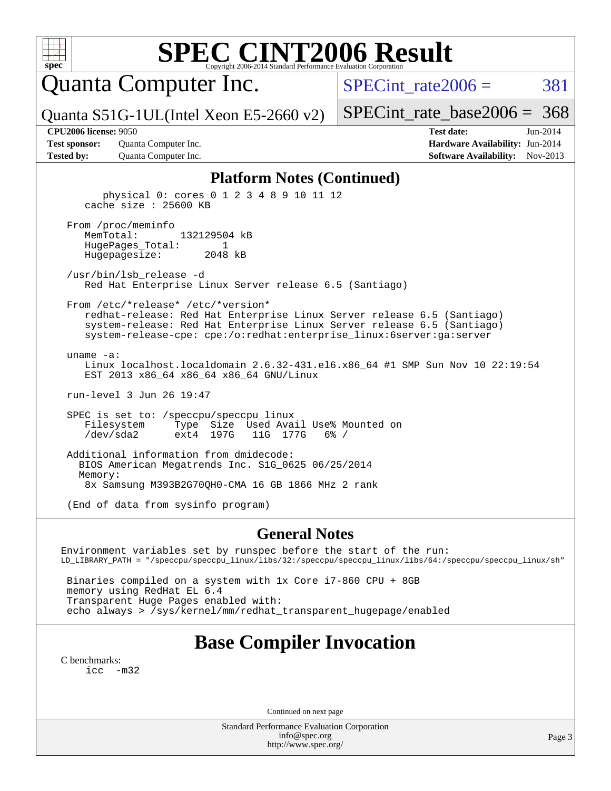Quanta Computer Inc.

 $SPECTnt_rate2006 = 381$ 

Quanta S51G-1UL(Intel Xeon E5-2660 v2)

[SPECint\\_rate\\_base2006 =](http://www.spec.org/auto/cpu2006/Docs/result-fields.html#SPECintratebase2006) 368

**[Test sponsor:](http://www.spec.org/auto/cpu2006/Docs/result-fields.html#Testsponsor)** Quanta Computer Inc. **[Hardware Availability:](http://www.spec.org/auto/cpu2006/Docs/result-fields.html#HardwareAvailability)** Jun-2014 **[Tested by:](http://www.spec.org/auto/cpu2006/Docs/result-fields.html#Testedby)** Quanta Computer Inc. **[Software Availability:](http://www.spec.org/auto/cpu2006/Docs/result-fields.html#SoftwareAvailability)** Nov-2013

**[CPU2006 license:](http://www.spec.org/auto/cpu2006/Docs/result-fields.html#CPU2006license)** 9050 **[Test date:](http://www.spec.org/auto/cpu2006/Docs/result-fields.html#Testdate)** Jun-2014

#### **[Platform Notes \(Continued\)](http://www.spec.org/auto/cpu2006/Docs/result-fields.html#PlatformNotes)**

 physical 0: cores 0 1 2 3 4 8 9 10 11 12 cache size : 25600 KB From /proc/meminfo MemTotal: 132129504 kB HugePages\_Total: 1 Hugepagesize: 2048 kB /usr/bin/lsb\_release -d Red Hat Enterprise Linux Server release 6.5 (Santiago) From /etc/\*release\* /etc/\*version\* redhat-release: Red Hat Enterprise Linux Server release 6.5 (Santiago) system-release: Red Hat Enterprise Linux Server release 6.5 (Santiago) system-release-cpe: cpe:/o:redhat:enterprise\_linux:6server:ga:server uname -a: Linux localhost.localdomain 2.6.32-431.el6.x86\_64 #1 SMP Sun Nov 10 22:19:54 EST 2013 x86\_64 x86\_64 x86\_64 GNU/Linux run-level 3 Jun 26 19:47 SPEC is set to: /speccpu/speccpu\_linux Filesystem Type Size Used Avail Use% Mounted on /dev/sda2 ext4 197G 11G 177G 6% / Additional information from dmidecode: BIOS American Megatrends Inc. S1G\_0625 06/25/2014 Memory: 8x Samsung M393B2G70QH0-CMA 16 GB 1866 MHz 2 rank (End of data from sysinfo program)

#### **[General Notes](http://www.spec.org/auto/cpu2006/Docs/result-fields.html#GeneralNotes)**

Environment variables set by runspec before the start of the run: LD\_LIBRARY\_PATH = "/speccpu/speccpu\_linux/libs/32:/speccpu/speccpu\_linux/libs/64:/speccpu/speccpu\_linux/sh"

 Binaries compiled on a system with 1x Core i7-860 CPU + 8GB memory using RedHat EL 6.4 Transparent Huge Pages enabled with: echo always > /sys/kernel/mm/redhat\_transparent\_hugepage/enabled

## **[Base Compiler Invocation](http://www.spec.org/auto/cpu2006/Docs/result-fields.html#BaseCompilerInvocation)**

[C benchmarks](http://www.spec.org/auto/cpu2006/Docs/result-fields.html#Cbenchmarks): [icc -m32](http://www.spec.org/cpu2006/results/res2014q3/cpu2006-20140629-30081.flags.html#user_CCbase_intel_icc_5ff4a39e364c98233615fdd38438c6f2)

Continued on next page

Standard Performance Evaluation Corporation [info@spec.org](mailto:info@spec.org) <http://www.spec.org/>

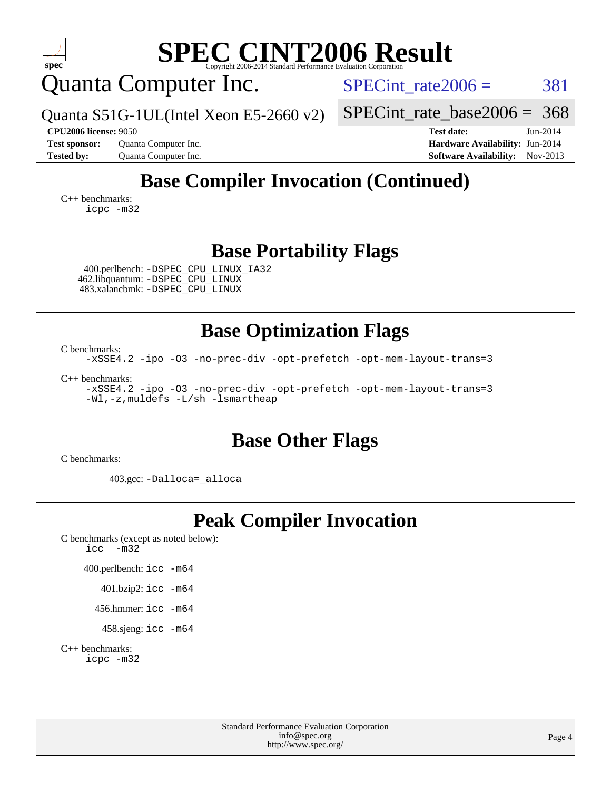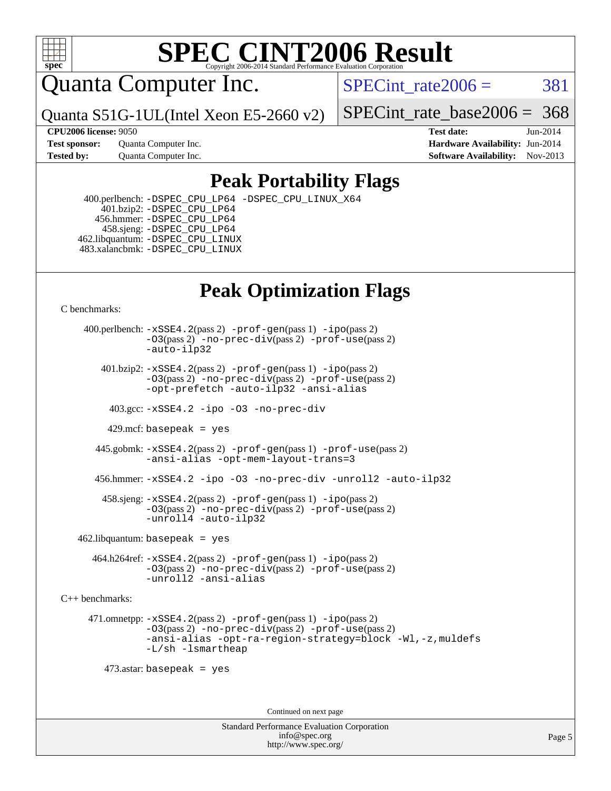

Quanta Computer Inc.

SPECint rate $2006 = 381$ 

Quanta S51G-1UL(Intel Xeon E5-2660 v2)

[SPECint\\_rate\\_base2006 =](http://www.spec.org/auto/cpu2006/Docs/result-fields.html#SPECintratebase2006) 368

**[Test sponsor:](http://www.spec.org/auto/cpu2006/Docs/result-fields.html#Testsponsor)** Quanta Computer Inc. **[Hardware Availability:](http://www.spec.org/auto/cpu2006/Docs/result-fields.html#HardwareAvailability)** Jun-2014

**[CPU2006 license:](http://www.spec.org/auto/cpu2006/Docs/result-fields.html#CPU2006license)** 9050 **[Test date:](http://www.spec.org/auto/cpu2006/Docs/result-fields.html#Testdate)** Jun-2014 **[Tested by:](http://www.spec.org/auto/cpu2006/Docs/result-fields.html#Testedby)** Quanta Computer Inc. **[Software Availability:](http://www.spec.org/auto/cpu2006/Docs/result-fields.html#SoftwareAvailability)** Nov-2013

### **[Peak Portability Flags](http://www.spec.org/auto/cpu2006/Docs/result-fields.html#PeakPortabilityFlags)**

 400.perlbench: [-DSPEC\\_CPU\\_LP64](http://www.spec.org/cpu2006/results/res2014q3/cpu2006-20140629-30081.flags.html#b400.perlbench_peakCPORTABILITY_DSPEC_CPU_LP64) [-DSPEC\\_CPU\\_LINUX\\_X64](http://www.spec.org/cpu2006/results/res2014q3/cpu2006-20140629-30081.flags.html#b400.perlbench_peakCPORTABILITY_DSPEC_CPU_LINUX_X64) 401.bzip2: [-DSPEC\\_CPU\\_LP64](http://www.spec.org/cpu2006/results/res2014q3/cpu2006-20140629-30081.flags.html#suite_peakCPORTABILITY401_bzip2_DSPEC_CPU_LP64) 456.hmmer: [-DSPEC\\_CPU\\_LP64](http://www.spec.org/cpu2006/results/res2014q3/cpu2006-20140629-30081.flags.html#suite_peakCPORTABILITY456_hmmer_DSPEC_CPU_LP64) 458.sjeng: [-DSPEC\\_CPU\\_LP64](http://www.spec.org/cpu2006/results/res2014q3/cpu2006-20140629-30081.flags.html#suite_peakCPORTABILITY458_sjeng_DSPEC_CPU_LP64) 462.libquantum: [-DSPEC\\_CPU\\_LINUX](http://www.spec.org/cpu2006/results/res2014q3/cpu2006-20140629-30081.flags.html#b462.libquantum_peakCPORTABILITY_DSPEC_CPU_LINUX) 483.xalancbmk: [-DSPEC\\_CPU\\_LINUX](http://www.spec.org/cpu2006/results/res2014q3/cpu2006-20140629-30081.flags.html#b483.xalancbmk_peakCXXPORTABILITY_DSPEC_CPU_LINUX)

## **[Peak Optimization Flags](http://www.spec.org/auto/cpu2006/Docs/result-fields.html#PeakOptimizationFlags)**

[C benchmarks](http://www.spec.org/auto/cpu2006/Docs/result-fields.html#Cbenchmarks):

 400.perlbench: [-xSSE4.2](http://www.spec.org/cpu2006/results/res2014q3/cpu2006-20140629-30081.flags.html#user_peakPASS2_CFLAGSPASS2_LDCFLAGS400_perlbench_f-xSSE42_f91528193cf0b216347adb8b939d4107)(pass 2) [-prof-gen](http://www.spec.org/cpu2006/results/res2014q3/cpu2006-20140629-30081.flags.html#user_peakPASS1_CFLAGSPASS1_LDCFLAGS400_perlbench_prof_gen_e43856698f6ca7b7e442dfd80e94a8fc)(pass 1) [-ipo](http://www.spec.org/cpu2006/results/res2014q3/cpu2006-20140629-30081.flags.html#user_peakPASS2_CFLAGSPASS2_LDCFLAGS400_perlbench_f-ipo)(pass 2) [-O3](http://www.spec.org/cpu2006/results/res2014q3/cpu2006-20140629-30081.flags.html#user_peakPASS2_CFLAGSPASS2_LDCFLAGS400_perlbench_f-O3)(pass 2) [-no-prec-div](http://www.spec.org/cpu2006/results/res2014q3/cpu2006-20140629-30081.flags.html#user_peakPASS2_CFLAGSPASS2_LDCFLAGS400_perlbench_f-no-prec-div)(pass 2) [-prof-use](http://www.spec.org/cpu2006/results/res2014q3/cpu2006-20140629-30081.flags.html#user_peakPASS2_CFLAGSPASS2_LDCFLAGS400_perlbench_prof_use_bccf7792157ff70d64e32fe3e1250b55)(pass 2) [-auto-ilp32](http://www.spec.org/cpu2006/results/res2014q3/cpu2006-20140629-30081.flags.html#user_peakCOPTIMIZE400_perlbench_f-auto-ilp32)  $401.bzip2: -xSSE4.2(pass 2) -prof-qen(pass 1) -ipo(pass 2)$  $401.bzip2: -xSSE4.2(pass 2) -prof-qen(pass 1) -ipo(pass 2)$  $401.bzip2: -xSSE4.2(pass 2) -prof-qen(pass 1) -ipo(pass 2)$  $401.bzip2: -xSSE4.2(pass 2) -prof-qen(pass 1) -ipo(pass 2)$  $401.bzip2: -xSSE4.2(pass 2) -prof-qen(pass 1) -ipo(pass 2)$ [-O3](http://www.spec.org/cpu2006/results/res2014q3/cpu2006-20140629-30081.flags.html#user_peakPASS2_CFLAGSPASS2_LDCFLAGS401_bzip2_f-O3)(pass 2) [-no-prec-div](http://www.spec.org/cpu2006/results/res2014q3/cpu2006-20140629-30081.flags.html#user_peakPASS2_CFLAGSPASS2_LDCFLAGS401_bzip2_f-no-prec-div)(pass 2) [-prof-use](http://www.spec.org/cpu2006/results/res2014q3/cpu2006-20140629-30081.flags.html#user_peakPASS2_CFLAGSPASS2_LDCFLAGS401_bzip2_prof_use_bccf7792157ff70d64e32fe3e1250b55)(pass 2) [-opt-prefetch](http://www.spec.org/cpu2006/results/res2014q3/cpu2006-20140629-30081.flags.html#user_peakCOPTIMIZE401_bzip2_f-opt-prefetch) [-auto-ilp32](http://www.spec.org/cpu2006/results/res2014q3/cpu2006-20140629-30081.flags.html#user_peakCOPTIMIZE401_bzip2_f-auto-ilp32) [-ansi-alias](http://www.spec.org/cpu2006/results/res2014q3/cpu2006-20140629-30081.flags.html#user_peakCOPTIMIZE401_bzip2_f-ansi-alias) 403.gcc: [-xSSE4.2](http://www.spec.org/cpu2006/results/res2014q3/cpu2006-20140629-30081.flags.html#user_peakCOPTIMIZE403_gcc_f-xSSE42_f91528193cf0b216347adb8b939d4107) [-ipo](http://www.spec.org/cpu2006/results/res2014q3/cpu2006-20140629-30081.flags.html#user_peakCOPTIMIZE403_gcc_f-ipo) [-O3](http://www.spec.org/cpu2006/results/res2014q3/cpu2006-20140629-30081.flags.html#user_peakCOPTIMIZE403_gcc_f-O3) [-no-prec-div](http://www.spec.org/cpu2006/results/res2014q3/cpu2006-20140629-30081.flags.html#user_peakCOPTIMIZE403_gcc_f-no-prec-div) 429.mcf: basepeak = yes 445.gobmk: [-xSSE4.2](http://www.spec.org/cpu2006/results/res2014q3/cpu2006-20140629-30081.flags.html#user_peakPASS2_CFLAGSPASS2_LDCFLAGS445_gobmk_f-xSSE42_f91528193cf0b216347adb8b939d4107)(pass 2) [-prof-gen](http://www.spec.org/cpu2006/results/res2014q3/cpu2006-20140629-30081.flags.html#user_peakPASS1_CFLAGSPASS1_LDCFLAGS445_gobmk_prof_gen_e43856698f6ca7b7e442dfd80e94a8fc)(pass 1) [-prof-use](http://www.spec.org/cpu2006/results/res2014q3/cpu2006-20140629-30081.flags.html#user_peakPASS2_CFLAGSPASS2_LDCFLAGS445_gobmk_prof_use_bccf7792157ff70d64e32fe3e1250b55)(pass 2) [-ansi-alias](http://www.spec.org/cpu2006/results/res2014q3/cpu2006-20140629-30081.flags.html#user_peakCOPTIMIZE445_gobmk_f-ansi-alias) [-opt-mem-layout-trans=3](http://www.spec.org/cpu2006/results/res2014q3/cpu2006-20140629-30081.flags.html#user_peakCOPTIMIZE445_gobmk_f-opt-mem-layout-trans_a7b82ad4bd7abf52556d4961a2ae94d5) 456.hmmer: [-xSSE4.2](http://www.spec.org/cpu2006/results/res2014q3/cpu2006-20140629-30081.flags.html#user_peakCOPTIMIZE456_hmmer_f-xSSE42_f91528193cf0b216347adb8b939d4107) [-ipo](http://www.spec.org/cpu2006/results/res2014q3/cpu2006-20140629-30081.flags.html#user_peakCOPTIMIZE456_hmmer_f-ipo) [-O3](http://www.spec.org/cpu2006/results/res2014q3/cpu2006-20140629-30081.flags.html#user_peakCOPTIMIZE456_hmmer_f-O3) [-no-prec-div](http://www.spec.org/cpu2006/results/res2014q3/cpu2006-20140629-30081.flags.html#user_peakCOPTIMIZE456_hmmer_f-no-prec-div) [-unroll2](http://www.spec.org/cpu2006/results/res2014q3/cpu2006-20140629-30081.flags.html#user_peakCOPTIMIZE456_hmmer_f-unroll_784dae83bebfb236979b41d2422d7ec2) [-auto-ilp32](http://www.spec.org/cpu2006/results/res2014q3/cpu2006-20140629-30081.flags.html#user_peakCOPTIMIZE456_hmmer_f-auto-ilp32) 458.sjeng: [-xSSE4.2](http://www.spec.org/cpu2006/results/res2014q3/cpu2006-20140629-30081.flags.html#user_peakPASS2_CFLAGSPASS2_LDCFLAGS458_sjeng_f-xSSE42_f91528193cf0b216347adb8b939d4107)(pass 2) [-prof-gen](http://www.spec.org/cpu2006/results/res2014q3/cpu2006-20140629-30081.flags.html#user_peakPASS1_CFLAGSPASS1_LDCFLAGS458_sjeng_prof_gen_e43856698f6ca7b7e442dfd80e94a8fc)(pass 1) [-ipo](http://www.spec.org/cpu2006/results/res2014q3/cpu2006-20140629-30081.flags.html#user_peakPASS2_CFLAGSPASS2_LDCFLAGS458_sjeng_f-ipo)(pass 2) [-O3](http://www.spec.org/cpu2006/results/res2014q3/cpu2006-20140629-30081.flags.html#user_peakPASS2_CFLAGSPASS2_LDCFLAGS458_sjeng_f-O3)(pass 2) [-no-prec-div](http://www.spec.org/cpu2006/results/res2014q3/cpu2006-20140629-30081.flags.html#user_peakPASS2_CFLAGSPASS2_LDCFLAGS458_sjeng_f-no-prec-div)(pass 2) [-prof-use](http://www.spec.org/cpu2006/results/res2014q3/cpu2006-20140629-30081.flags.html#user_peakPASS2_CFLAGSPASS2_LDCFLAGS458_sjeng_prof_use_bccf7792157ff70d64e32fe3e1250b55)(pass 2) [-unroll4](http://www.spec.org/cpu2006/results/res2014q3/cpu2006-20140629-30081.flags.html#user_peakCOPTIMIZE458_sjeng_f-unroll_4e5e4ed65b7fd20bdcd365bec371b81f) [-auto-ilp32](http://www.spec.org/cpu2006/results/res2014q3/cpu2006-20140629-30081.flags.html#user_peakCOPTIMIZE458_sjeng_f-auto-ilp32)  $462$ .libquantum: basepeak = yes 464.h264ref: [-xSSE4.2](http://www.spec.org/cpu2006/results/res2014q3/cpu2006-20140629-30081.flags.html#user_peakPASS2_CFLAGSPASS2_LDCFLAGS464_h264ref_f-xSSE42_f91528193cf0b216347adb8b939d4107)(pass 2) [-prof-gen](http://www.spec.org/cpu2006/results/res2014q3/cpu2006-20140629-30081.flags.html#user_peakPASS1_CFLAGSPASS1_LDCFLAGS464_h264ref_prof_gen_e43856698f6ca7b7e442dfd80e94a8fc)(pass 1) [-ipo](http://www.spec.org/cpu2006/results/res2014q3/cpu2006-20140629-30081.flags.html#user_peakPASS2_CFLAGSPASS2_LDCFLAGS464_h264ref_f-ipo)(pass 2) [-O3](http://www.spec.org/cpu2006/results/res2014q3/cpu2006-20140629-30081.flags.html#user_peakPASS2_CFLAGSPASS2_LDCFLAGS464_h264ref_f-O3)(pass 2) [-no-prec-div](http://www.spec.org/cpu2006/results/res2014q3/cpu2006-20140629-30081.flags.html#user_peakPASS2_CFLAGSPASS2_LDCFLAGS464_h264ref_f-no-prec-div)(pass 2) [-prof-use](http://www.spec.org/cpu2006/results/res2014q3/cpu2006-20140629-30081.flags.html#user_peakPASS2_CFLAGSPASS2_LDCFLAGS464_h264ref_prof_use_bccf7792157ff70d64e32fe3e1250b55)(pass 2) [-unroll2](http://www.spec.org/cpu2006/results/res2014q3/cpu2006-20140629-30081.flags.html#user_peakCOPTIMIZE464_h264ref_f-unroll_784dae83bebfb236979b41d2422d7ec2) [-ansi-alias](http://www.spec.org/cpu2006/results/res2014q3/cpu2006-20140629-30081.flags.html#user_peakCOPTIMIZE464_h264ref_f-ansi-alias) [C++ benchmarks:](http://www.spec.org/auto/cpu2006/Docs/result-fields.html#CXXbenchmarks) 471.omnetpp: [-xSSE4.2](http://www.spec.org/cpu2006/results/res2014q3/cpu2006-20140629-30081.flags.html#user_peakPASS2_CXXFLAGSPASS2_LDCXXFLAGS471_omnetpp_f-xSSE42_f91528193cf0b216347adb8b939d4107)(pass 2) [-prof-gen](http://www.spec.org/cpu2006/results/res2014q3/cpu2006-20140629-30081.flags.html#user_peakPASS1_CXXFLAGSPASS1_LDCXXFLAGS471_omnetpp_prof_gen_e43856698f6ca7b7e442dfd80e94a8fc)(pass 1) [-ipo](http://www.spec.org/cpu2006/results/res2014q3/cpu2006-20140629-30081.flags.html#user_peakPASS2_CXXFLAGSPASS2_LDCXXFLAGS471_omnetpp_f-ipo)(pass 2) [-O3](http://www.spec.org/cpu2006/results/res2014q3/cpu2006-20140629-30081.flags.html#user_peakPASS2_CXXFLAGSPASS2_LDCXXFLAGS471_omnetpp_f-O3)(pass 2) [-no-prec-div](http://www.spec.org/cpu2006/results/res2014q3/cpu2006-20140629-30081.flags.html#user_peakPASS2_CXXFLAGSPASS2_LDCXXFLAGS471_omnetpp_f-no-prec-div)(pass 2) [-prof-use](http://www.spec.org/cpu2006/results/res2014q3/cpu2006-20140629-30081.flags.html#user_peakPASS2_CXXFLAGSPASS2_LDCXXFLAGS471_omnetpp_prof_use_bccf7792157ff70d64e32fe3e1250b55)(pass 2) [-ansi-alias](http://www.spec.org/cpu2006/results/res2014q3/cpu2006-20140629-30081.flags.html#user_peakCXXOPTIMIZE471_omnetpp_f-ansi-alias) [-opt-ra-region-strategy=block](http://www.spec.org/cpu2006/results/res2014q3/cpu2006-20140629-30081.flags.html#user_peakCXXOPTIMIZE471_omnetpp_f-opt-ra-region-strategy_a0a37c372d03933b2a18d4af463c1f69) [-Wl,-z,muldefs](http://www.spec.org/cpu2006/results/res2014q3/cpu2006-20140629-30081.flags.html#user_peakEXTRA_LDFLAGS471_omnetpp_link_force_multiple1_74079c344b956b9658436fd1b6dd3a8a) [-L/sh -lsmartheap](http://www.spec.org/cpu2006/results/res2014q3/cpu2006-20140629-30081.flags.html#user_peakEXTRA_LIBS471_omnetpp_SmartHeap_32f6c82aa1ed9c52345d30cf6e4a0499) 473.astar: basepeak = yes Continued on next page

> Standard Performance Evaluation Corporation [info@spec.org](mailto:info@spec.org) <http://www.spec.org/>